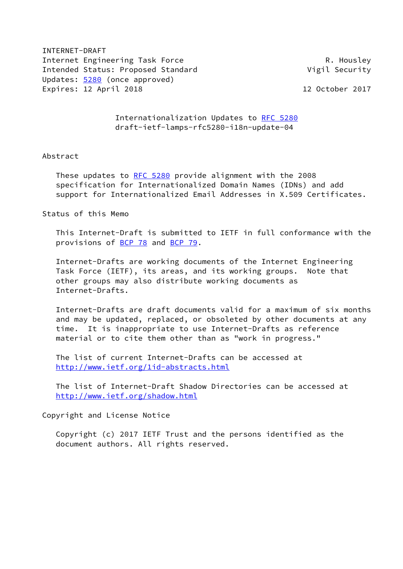INTERNET-DRAFT Internet Engineering Task Force **R. Housley** R. Housley Intended Status: Proposed Standard **Vigil Security** Updates: [5280](https://datatracker.ietf.org/doc/pdf/rfc5280) (once approved) Expires: 12 April 2018 12 October 2017

 Internationalization Updates to [RFC 5280](https://datatracker.ietf.org/doc/pdf/rfc5280) draft-ietf-lamps-rfc5280-i18n-update-04

## Abstract

These updates to [RFC 5280](https://datatracker.ietf.org/doc/pdf/rfc5280) provide alignment with the 2008 specification for Internationalized Domain Names (IDNs) and add support for Internationalized Email Addresses in X.509 Certificates.

Status of this Memo

 This Internet-Draft is submitted to IETF in full conformance with the provisions of [BCP 78](https://datatracker.ietf.org/doc/pdf/bcp78) and [BCP 79](https://datatracker.ietf.org/doc/pdf/bcp79).

 Internet-Drafts are working documents of the Internet Engineering Task Force (IETF), its areas, and its working groups. Note that other groups may also distribute working documents as Internet-Drafts.

 Internet-Drafts are draft documents valid for a maximum of six months and may be updated, replaced, or obsoleted by other documents at any time. It is inappropriate to use Internet-Drafts as reference material or to cite them other than as "work in progress."

 The list of current Internet-Drafts can be accessed at <http://www.ietf.org/1id-abstracts.html>

 The list of Internet-Draft Shadow Directories can be accessed at <http://www.ietf.org/shadow.html>

Copyright and License Notice

 Copyright (c) 2017 IETF Trust and the persons identified as the document authors. All rights reserved.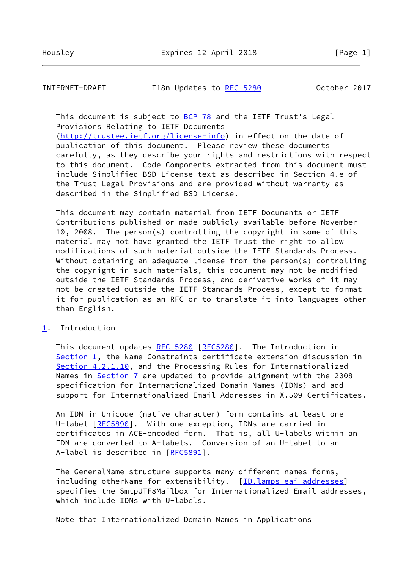INTERNET-DRAFT 118n Updates to [RFC 5280](https://datatracker.ietf.org/doc/pdf/rfc5280) 0ctober 2017

This document is subject to [BCP 78](https://datatracker.ietf.org/doc/pdf/bcp78) and the IETF Trust's Legal Provisions Relating to IETF Documents

 [\(http://trustee.ietf.org/license-info](http://trustee.ietf.org/license-info)) in effect on the date of publication of this document. Please review these documents carefully, as they describe your rights and restrictions with respect to this document. Code Components extracted from this document must include Simplified BSD License text as described in Section 4.e of the Trust Legal Provisions and are provided without warranty as described in the Simplified BSD License.

 This document may contain material from IETF Documents or IETF Contributions published or made publicly available before November 10, 2008. The person(s) controlling the copyright in some of this material may not have granted the IETF Trust the right to allow modifications of such material outside the IETF Standards Process. Without obtaining an adequate license from the person(s) controlling the copyright in such materials, this document may not be modified outside the IETF Standards Process, and derivative works of it may not be created outside the IETF Standards Process, except to format it for publication as an RFC or to translate it into languages other than English.

<span id="page-1-0"></span>[1](#page-1-0). Introduction

 This document updates [RFC 5280](https://datatracker.ietf.org/doc/pdf/rfc5280) [\[RFC5280](https://datatracker.ietf.org/doc/pdf/rfc5280)]. The Introduction in [Section 1](#page-1-0), the Name Constraints certificate extension discussion in Section 4.2.1.10, and the Processing Rules for Internationalized Names in Section 7 are updated to provide alignment with the 2008 specification for Internationalized Domain Names (IDNs) and add support for Internationalized Email Addresses in X.509 Certificates.

 An IDN in Unicode (native character) form contains at least one U-label [\[RFC5890](https://datatracker.ietf.org/doc/pdf/rfc5890)]. With one exception, IDNs are carried in certificates in ACE-encoded form. That is, all U-labels within an IDN are converted to A-labels. Conversion of an U-label to an A-label is described in [\[RFC5891](https://datatracker.ietf.org/doc/pdf/rfc5891)].

 The GeneralName structure supports many different names forms, including otherName for extensibility. [\[ID.lamps-eai-addresses](#page-7-0)] specifies the SmtpUTF8Mailbox for Internationalized Email addresses, which include IDNs with U-labels.

Note that Internationalized Domain Names in Applications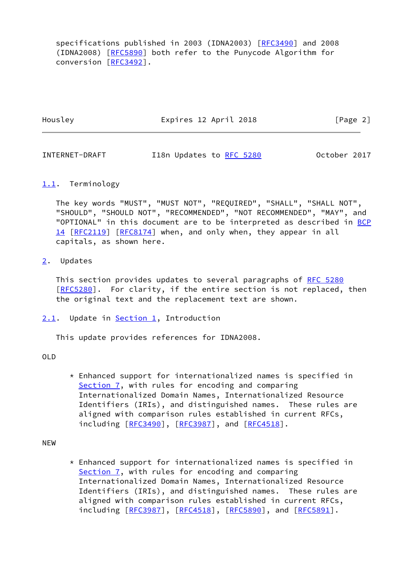specifications published in 2003 (IDNA2003) [\[RFC3490](https://datatracker.ietf.org/doc/pdf/rfc3490)] and 2008 (IDNA2008) [[RFC5890\]](https://datatracker.ietf.org/doc/pdf/rfc5890) both refer to the Punycode Algorithm for conversion [[RFC3492\]](https://datatracker.ietf.org/doc/pdf/rfc3492).

Housley Expires 12 April 2018 [Page 2]

INTERNET-DRAFT 118n Updates to [RFC 5280](https://datatracker.ietf.org/doc/pdf/rfc5280) 0ctober 2017

# <span id="page-2-0"></span>[1.1](#page-2-0). Terminology

 The key words "MUST", "MUST NOT", "REQUIRED", "SHALL", "SHALL NOT", "SHOULD", "SHOULD NOT", "RECOMMENDED", "NOT RECOMMENDED", "MAY", and "OPTIONAL" in this document are to be interpreted as described in [BCP](https://datatracker.ietf.org/doc/pdf/bcp14) [14](https://datatracker.ietf.org/doc/pdf/bcp14) [[RFC2119\]](https://datatracker.ietf.org/doc/pdf/rfc2119) [\[RFC8174](https://datatracker.ietf.org/doc/pdf/rfc8174)] when, and only when, they appear in all capitals, as shown here.

# <span id="page-2-1"></span>[2](#page-2-1). Updates

This section provides updates to several paragraphs of [RFC 5280](https://datatracker.ietf.org/doc/pdf/rfc5280) [\[RFC5280](https://datatracker.ietf.org/doc/pdf/rfc5280)]. For clarity, if the entire section is not replaced, then the original text and the replacement text are shown.

<span id="page-2-2"></span>[2.1](#page-2-2). Update in [Section 1](#page-1-0), Introduction

This update provides references for IDNA2008.

OLD

 \* Enhanced support for internationalized names is specified in Section 7, with rules for encoding and comparing Internationalized Domain Names, Internationalized Resource Identifiers (IRIs), and distinguished names. These rules are aligned with comparison rules established in current RFCs, including [\[RFC3490](https://datatracker.ietf.org/doc/pdf/rfc3490)], [[RFC3987](https://datatracker.ietf.org/doc/pdf/rfc3987)], and [\[RFC4518](https://datatracker.ietf.org/doc/pdf/rfc4518)].

NEW

 $*$  Enhanced support for internationalized names is specified in Section 7, with rules for encoding and comparing Internationalized Domain Names, Internationalized Resource Identifiers (IRIs), and distinguished names. These rules are aligned with comparison rules established in current RFCs, including [\[RFC3987](https://datatracker.ietf.org/doc/pdf/rfc3987)], [[RFC4518](https://datatracker.ietf.org/doc/pdf/rfc4518)], [\[RFC5890](https://datatracker.ietf.org/doc/pdf/rfc5890)], and [\[RFC5891](https://datatracker.ietf.org/doc/pdf/rfc5891)].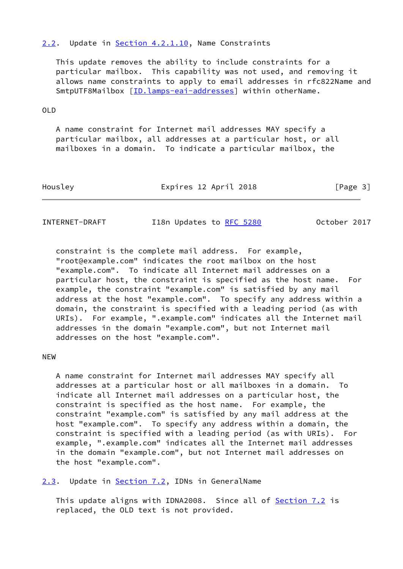# <span id="page-3-0"></span>[2.2](#page-3-0). Update in Section 4.2.1.10, Name Constraints

 This update removes the ability to include constraints for a particular mailbox. This capability was not used, and removing it allows name constraints to apply to email addresses in rfc822Name and SmtpUTF8Mailbox [\[ID.lamps-eai-addresses](#page-7-0)] within otherName.

### OLD

 A name constraint for Internet mail addresses MAY specify a particular mailbox, all addresses at a particular host, or all mailboxes in a domain. To indicate a particular mailbox, the

| Housley | Expires 12 April 2018 | [Page 3] |
|---------|-----------------------|----------|
|         |                       |          |

INTERNET-DRAFT I18n Updates to [RFC 5280](https://datatracker.ietf.org/doc/pdf/rfc5280) October 2017

 constraint is the complete mail address. For example, "root@example.com" indicates the root mailbox on the host "example.com". To indicate all Internet mail addresses on a particular host, the constraint is specified as the host name. For example, the constraint "example.com" is satisfied by any mail address at the host "example.com". To specify any address within a domain, the constraint is specified with a leading period (as with URIs). For example, ".example.com" indicates all the Internet mail addresses in the domain "example.com", but not Internet mail addresses on the host "example.com".

# NEW

 A name constraint for Internet mail addresses MAY specify all addresses at a particular host or all mailboxes in a domain. To indicate all Internet mail addresses on a particular host, the constraint is specified as the host name. For example, the constraint "example.com" is satisfied by any mail address at the host "example.com". To specify any address within a domain, the constraint is specified with a leading period (as with URIs). For example, ".example.com" indicates all the Internet mail addresses in the domain "example.com", but not Internet mail addresses on the host "example.com".

<span id="page-3-1"></span>[2.3](#page-3-1). Update in Section 7.2, IDNs in GeneralName

This update aligns with IDNA2008. Since all of Section 7.2 is replaced, the OLD text is not provided.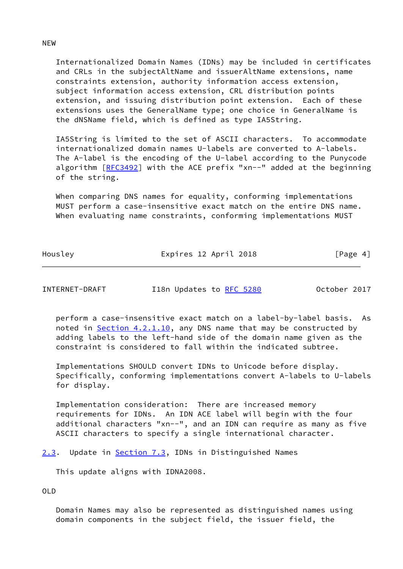Internationalized Domain Names (IDNs) may be included in certificates and CRLs in the subjectAltName and issuerAltName extensions, name constraints extension, authority information access extension, subject information access extension, CRL distribution points extension, and issuing distribution point extension. Each of these extensions uses the GeneralName type; one choice in GeneralName is the dNSName field, which is defined as type IA5String.

 IA5String is limited to the set of ASCII characters. To accommodate internationalized domain names U-labels are converted to A-labels. The A-label is the encoding of the U-label according to the Punycode algorithm [[RFC3492](https://datatracker.ietf.org/doc/pdf/rfc3492)] with the ACE prefix "xn--" added at the beginning of the string.

 When comparing DNS names for equality, conforming implementations MUST perform a case-insensitive exact match on the entire DNS name. When evaluating name constraints, conforming implementations MUST

Housley **Expires 12 April 2018** [Page 4]

INTERNET-DRAFT 118n Updates to [RFC 5280](https://datatracker.ietf.org/doc/pdf/rfc5280) 0ctober 2017

 perform a case-insensitive exact match on a label-by-label basis. As noted in **Section 4.2.1.10**, any DNS name that may be constructed by adding labels to the left-hand side of the domain name given as the constraint is considered to fall within the indicated subtree.

 Implementations SHOULD convert IDNs to Unicode before display. Specifically, conforming implementations convert A-labels to U-labels for display.

 Implementation consideration: There are increased memory requirements for IDNs. An IDN ACE label will begin with the four additional characters "xn--", and an IDN can require as many as five ASCII characters to specify a single international character.

[2.3](#page-3-1). Update in **Section 7.3**, IDNs in Distinguished Names

This update aligns with IDNA2008.

OLD

 Domain Names may also be represented as distinguished names using domain components in the subject field, the issuer field, the

NEW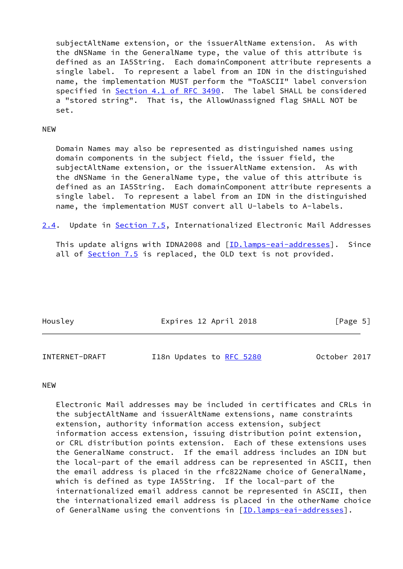subjectAltName extension, or the issuerAltName extension. As with the dNSName in the GeneralName type, the value of this attribute is defined as an IA5String. Each domainComponent attribute represents a single label. To represent a label from an IDN in the distinguished name, the implementation MUST perform the "ToASCII" label conversion specified in Section [4.1 of RFC 3490](https://datatracker.ietf.org/doc/pdf/rfc3490#section-4.1). The label SHALL be considered a "stored string". That is, the AllowUnassigned flag SHALL NOT be set.

## NEW

 Domain Names may also be represented as distinguished names using domain components in the subject field, the issuer field, the subjectAltName extension, or the issuerAltName extension. As with the dNSName in the GeneralName type, the value of this attribute is defined as an IA5String. Each domainComponent attribute represents a single label. To represent a label from an IDN in the distinguished name, the implementation MUST convert all U-labels to A-labels.

<span id="page-5-0"></span>[2.4](#page-5-0). Update in Section 7.5, Internationalized Electronic Mail Addresses

This update aligns with IDNA2008 and [\[ID.lamps-eai-addresses](#page-7-0)]. Since all of Section 7.5 is replaced, the OLD text is not provided.

| Housley | Expires 12 April 2018 | [Page 5] |
|---------|-----------------------|----------|
|         |                       |          |

| INTERNET-DRAFT | I18n Updates to RFC 5280 |  |  | October 2017 |
|----------------|--------------------------|--|--|--------------|
|----------------|--------------------------|--|--|--------------|

# NEW

 Electronic Mail addresses may be included in certificates and CRLs in the subjectAltName and issuerAltName extensions, name constraints extension, authority information access extension, subject information access extension, issuing distribution point extension, or CRL distribution points extension. Each of these extensions uses the GeneralName construct. If the email address includes an IDN but the local-part of the email address can be represented in ASCII, then the email address is placed in the rfc822Name choice of GeneralName, which is defined as type IA5String. If the local-part of the internationalized email address cannot be represented in ASCII, then the internationalized email address is placed in the otherName choice of GeneralName using the conventions in [\[ID.lamps-eai-addresses](#page-7-0)].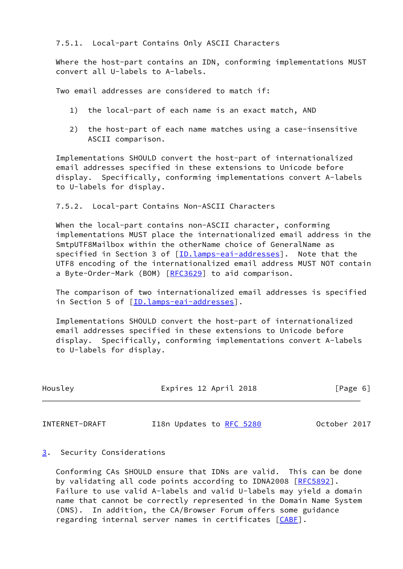# 7.5.1. Local-part Contains Only ASCII Characters

 Where the host-part contains an IDN, conforming implementations MUST convert all U-labels to A-labels.

Two email addresses are considered to match if:

- 1) the local-part of each name is an exact match, AND
- 2) the host-part of each name matches using a case-insensitive ASCII comparison.

 Implementations SHOULD convert the host-part of internationalized email addresses specified in these extensions to Unicode before display. Specifically, conforming implementations convert A-labels to U-labels for display.

## 7.5.2. Local-part Contains Non-ASCII Characters

 When the local-part contains non-ASCII character, conforming implementations MUST place the internationalized email address in the SmtpUTF8Mailbox within the otherName choice of GeneralName as specified in Section 3 of [[ID.lamps-eai-addresses](#page-7-0)]. Note that the UTF8 encoding of the internationalized email address MUST NOT contain a Byte-Order-Mark (BOM) [\[RFC3629](https://datatracker.ietf.org/doc/pdf/rfc3629)] to aid comparison.

 The comparison of two internationalized email addresses is specified in Section 5 of [\[ID.lamps-eai-addresses](#page-7-0)].

 Implementations SHOULD convert the host-part of internationalized email addresses specified in these extensions to Unicode before display. Specifically, conforming implementations convert A-labels to U-labels for display.

| Housley | Expires 12 April 2018 | [Page 6] |
|---------|-----------------------|----------|
|         |                       |          |

INTERNET-DRAFT 118n Updates to [RFC 5280](https://datatracker.ietf.org/doc/pdf/rfc5280) 0ctober 2017

# <span id="page-6-0"></span>[3](#page-6-0). Security Considerations

 Conforming CAs SHOULD ensure that IDNs are valid. This can be done by validating all code points according to IDNA2008 [\[RFC5892](https://datatracker.ietf.org/doc/pdf/rfc5892)]. Failure to use valid A-labels and valid U-labels may yield a domain name that cannot be correctly represented in the Domain Name System (DNS). In addition, the CA/Browser Forum offers some guidance regarding internal server names in certificates [\[CABF](#page-8-0)].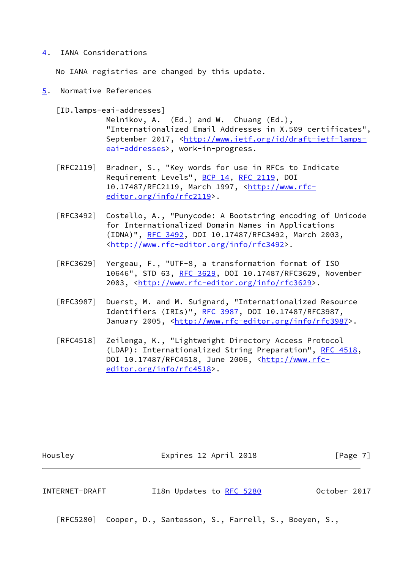# <span id="page-7-1"></span>[4](#page-7-1). IANA Considerations

No IANA registries are changed by this update.

<span id="page-7-2"></span>[5](#page-7-2). Normative References

<span id="page-7-0"></span>[ID.lamps-eai-addresses]

 Melnikov, A. (Ed.) and W. Chuang (Ed.), "Internationalized Email Addresses in X.509 certificates", September 2017, <[http://www.ietf.org/id/draft-ietf-lamps](http://www.ietf.org/id/draft-ietf-lamps-eai-addresses) [eai-addresses>](http://www.ietf.org/id/draft-ietf-lamps-eai-addresses), work-in-progress.

- [RFC2119] Bradner, S., "Key words for use in RFCs to Indicate Requirement Levels", [BCP 14](https://datatracker.ietf.org/doc/pdf/bcp14), [RFC 2119](https://datatracker.ietf.org/doc/pdf/rfc2119), DOI 10.17487/RFC2119, March 1997, [<http://www.rfc](http://www.rfc-editor.org/info/rfc2119) [editor.org/info/rfc2119](http://www.rfc-editor.org/info/rfc2119)>.
- [RFC3492] Costello, A., "Punycode: A Bootstring encoding of Unicode for Internationalized Domain Names in Applications (IDNA)", [RFC 3492,](https://datatracker.ietf.org/doc/pdf/rfc3492) DOI 10.17487/RFC3492, March 2003, <<http://www.rfc-editor.org/info/rfc3492>>.
- [RFC3629] Yergeau, F., "UTF-8, a transformation format of ISO 10646", STD 63, [RFC 3629,](https://datatracker.ietf.org/doc/pdf/rfc3629) DOI 10.17487/RFC3629, November 2003, [<http://www.rfc-editor.org/info/rfc3629](http://www.rfc-editor.org/info/rfc3629)>.
- [RFC3987] Duerst, M. and M. Suignard, "Internationalized Resource Identifiers (IRIs)", [RFC 3987](https://datatracker.ietf.org/doc/pdf/rfc3987), DOI 10.17487/RFC3987, January 2005, [<http://www.rfc-editor.org/info/rfc3987](http://www.rfc-editor.org/info/rfc3987)>.
- [RFC4518] Zeilenga, K., "Lightweight Directory Access Protocol (LDAP): Internationalized String Preparation", [RFC 4518](https://datatracker.ietf.org/doc/pdf/rfc4518), DOI 10.17487/RFC4518, June 2006, [<http://www.rfc](http://www.rfc-editor.org/info/rfc4518) [editor.org/info/rfc4518](http://www.rfc-editor.org/info/rfc4518)>.

Housley **Expires 12 April 2018** [Page 7]

INTERNET-DRAFT 118n Updates to [RFC 5280](https://datatracker.ietf.org/doc/pdf/rfc5280) 0ctober 2017

[RFC5280] Cooper, D., Santesson, S., Farrell, S., Boeyen, S.,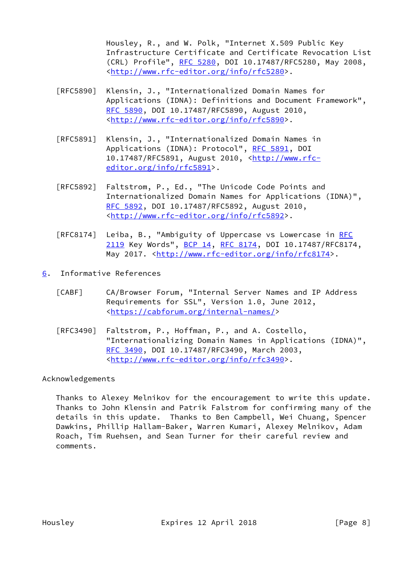Housley, R., and W. Polk, "Internet X.509 Public Key Infrastructure Certificate and Certificate Revocation List (CRL) Profile", [RFC 5280,](https://datatracker.ietf.org/doc/pdf/rfc5280) DOI 10.17487/RFC5280, May 2008, <<http://www.rfc-editor.org/info/rfc5280>>.

- [RFC5890] Klensin, J., "Internationalized Domain Names for Applications (IDNA): Definitions and Document Framework", [RFC 5890,](https://datatracker.ietf.org/doc/pdf/rfc5890) DOI 10.17487/RFC5890, August 2010, <<http://www.rfc-editor.org/info/rfc5890>>.
- [RFC5891] Klensin, J., "Internationalized Domain Names in Applications (IDNA): Protocol", [RFC 5891,](https://datatracker.ietf.org/doc/pdf/rfc5891) DOI 10.17487/RFC5891, August 2010, <[http://www.rfc](http://www.rfc-editor.org/info/rfc5891) [editor.org/info/rfc5891](http://www.rfc-editor.org/info/rfc5891)>.
- [RFC5892] Faltstrom, P., Ed., "The Unicode Code Points and Internationalized Domain Names for Applications (IDNA)", [RFC 5892,](https://datatracker.ietf.org/doc/pdf/rfc5892) DOI 10.17487/RFC5892, August 2010, <<http://www.rfc-editor.org/info/rfc5892>>.
- [RFC8174] Leiba, B., "Ambiguity of Uppercase vs Lowercase in [RFC](https://datatracker.ietf.org/doc/pdf/rfc2119) [2119](https://datatracker.ietf.org/doc/pdf/rfc2119) Key Words", [BCP 14](https://datatracker.ietf.org/doc/pdf/bcp14), [RFC 8174,](https://datatracker.ietf.org/doc/pdf/rfc8174) DOI 10.17487/RFC8174, May 2017. [<http://www.rfc-editor.org/info/rfc8174](http://www.rfc-editor.org/info/rfc8174)>.
- <span id="page-8-1"></span><span id="page-8-0"></span>[6](#page-8-1). Informative References
	- [CABF] CA/Browser Forum, "Internal Server Names and IP Address Requirements for SSL", Version 1.0, June 2012, <[https://cabforum.org/internal-names/>](https://cabforum.org/internal-names/)
	- [RFC3490] Faltstrom, P., Hoffman, P., and A. Costello, "Internationalizing Domain Names in Applications (IDNA)", [RFC 3490,](https://datatracker.ietf.org/doc/pdf/rfc3490) DOI 10.17487/RFC3490, March 2003, <<http://www.rfc-editor.org/info/rfc3490>>.

# Acknowledgements

 Thanks to Alexey Melnikov for the encouragement to write this update. Thanks to John Klensin and Patrik Falstrom for confirming many of the details in this update. Thanks to Ben Campbell, Wei Chuang, Spencer Dawkins, Phillip Hallam-Baker, Warren Kumari, Alexey Melnikov, Adam Roach, Tim Ruehsen, and Sean Turner for their careful review and comments.